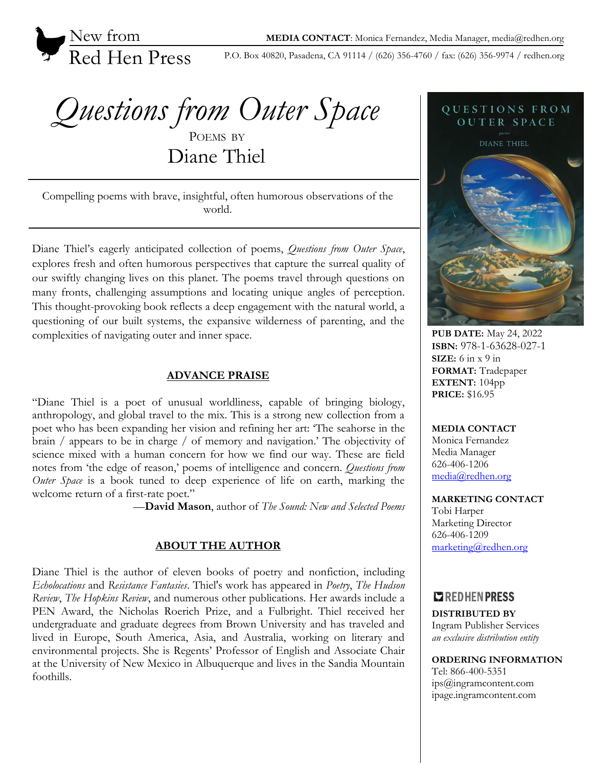

P.O. Box 40820, Pasadena, CA 91114 / (626) 356-4760 / fax: (626) 356-9974 / redhen.org

*Questions from Outer Space* POEMS BY Diane Thiel

Compelling poems with brave, insightful, often humorous observations of the world.

Diane Thiel's eagerly anticipated collection of poems, *Questions from Outer Space*, explores fresh and often humorous perspectives that capture the surreal quality of our swiftly changing lives on this planet. The poems travel through questions on many fronts, challenging assumptions and locating unique angles of perception. This thought-provoking book reflects a deep engagement with the natural world, a questioning of our built systems, the expansive wilderness of parenting, and the complexities of navigating outer and inner space.

### **ADVANCE PRAISE**

"Diane Thiel is a poet of unusual worldliness, capable of bringing biology, anthropology, and global travel to the mix. This is a strong new collection from a poet who has been expanding her vision and refining her art: 'The seahorse in the brain / appears to be in charge / of memory and navigation.' The objectivity of science mixed with a human concern for how we find our way. These are field notes from 'the edge of reason,' poems of intelligence and concern. *Questions from Outer Space* is a book tuned to deep experience of life on earth, marking the welcome return of a first-rate poet."

—**David Mason**, author of *The Sound: New and Selected Poems*

### **ABOUT THE AUTHOR**

Diane Thiel is the author of eleven books of poetry and nonfiction, including *Echolocations* and *Resistance Fantasies*. Thiel's work has appeared in *Poetry*, *The Hudson Review*, *The Hopkins Review*, and numerous other publications. Her awards include a PEN Award, the Nicholas Roerich Prize, and a Fulbright. Thiel received her undergraduate and graduate degrees from Brown University and has traveled and lived in Europe, South America, Asia, and Australia, working on literary and environmental projects. She is Regents' Professor of English and Associate Chair at the University of New Mexico in Albuquerque and lives in the Sandia Mountain foothills.



**PUB DATE:** May 24, 2022 **ISBN:** 978-1-63628-027-1 **SIZE:** 6 in x 9 in **FORMAT:** Tradepaper **EXTENT:** 104pp **PRICE:** \$16.95

### **MEDIA CONTACT**

Monica Fernandez Media Manager 626-406-1206 [media@redhen.org](mailto:media@redhen.org)

#### **MARKETING CONTACT**

Tobi Harper Marketing Director 626-406-1209 [marketing@redhen.org](mailto:marketing@redhen.org)

# **Z** REDHEN PRESS

**DISTRIBUTED BY** Ingram Publisher Services *an exclusive distribution entity*

**ORDERING INFORMATION**

Tel: 866-400-5351 ips@ingramcontent.com ipage.ingramcontent.com